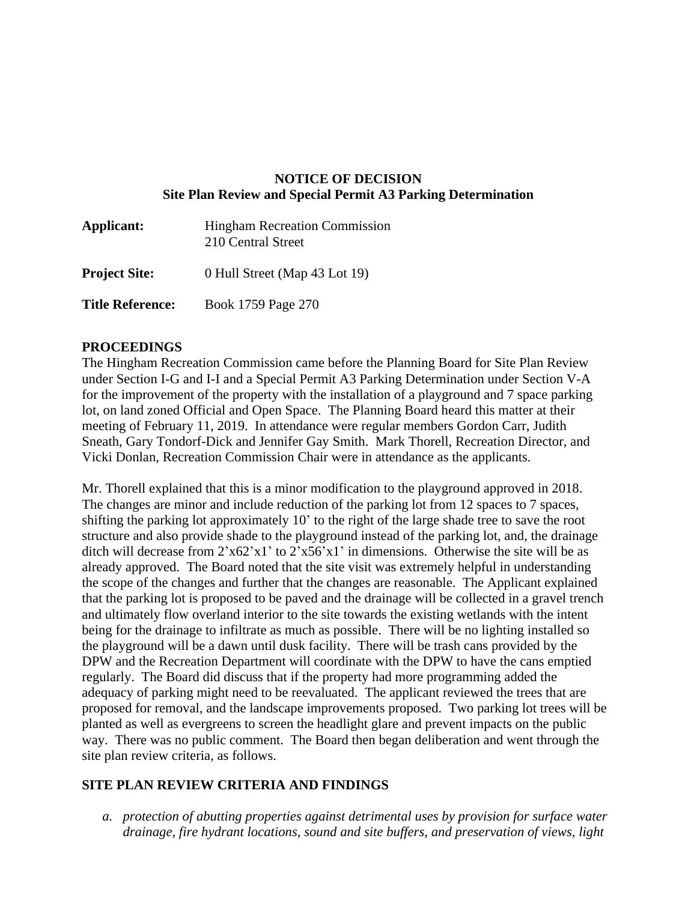### **NOTICE OF DECISION Site Plan Review and Special Permit A3 Parking Determination**

| Applicant:              | <b>Hingham Recreation Commission</b><br>210 Central Street |
|-------------------------|------------------------------------------------------------|
| <b>Project Site:</b>    | 0 Hull Street (Map 43 Lot 19)                              |
| <b>Title Reference:</b> | Book 1759 Page 270                                         |

#### **PROCEEDINGS**

The Hingham Recreation Commission came before the Planning Board for Site Plan Review under Section I-G and I-I and a Special Permit A3 Parking Determination under Section V-A for the improvement of the property with the installation of a playground and 7 space parking lot, on land zoned Official and Open Space. The Planning Board heard this matter at their meeting of February 11, 2019. In attendance were regular members Gordon Carr, Judith Sneath, Gary Tondorf-Dick and Jennifer Gay Smith. Mark Thorell, Recreation Director, and Vicki Donlan, Recreation Commission Chair were in attendance as the applicants.

Mr. Thorell explained that this is a minor modification to the playground approved in 2018. The changes are minor and include reduction of the parking lot from 12 spaces to 7 spaces, shifting the parking lot approximately 10' to the right of the large shade tree to save the root structure and also provide shade to the playground instead of the parking lot, and, the drainage ditch will decrease from  $2x62'x1'$  to  $2x56'x1'$  in dimensions. Otherwise the site will be as already approved. The Board noted that the site visit was extremely helpful in understanding the scope of the changes and further that the changes are reasonable. The Applicant explained that the parking lot is proposed to be paved and the drainage will be collected in a gravel trench and ultimately flow overland interior to the site towards the existing wetlands with the intent being for the drainage to infiltrate as much as possible. There will be no lighting installed so the playground will be a dawn until dusk facility. There will be trash cans provided by the DPW and the Recreation Department will coordinate with the DPW to have the cans emptied regularly. The Board did discuss that if the property had more programming added the adequacy of parking might need to be reevaluated. The applicant reviewed the trees that are proposed for removal, and the landscape improvements proposed. Two parking lot trees will be planted as well as evergreens to screen the headlight glare and prevent impacts on the public way. There was no public comment. The Board then began deliberation and went through the site plan review criteria, as follows.

### **SITE PLAN REVIEW CRITERIA AND FINDINGS**

*a. protection of abutting properties against detrimental uses by provision for surface water drainage, fire hydrant locations, sound and site buffers, and preservation of views, light*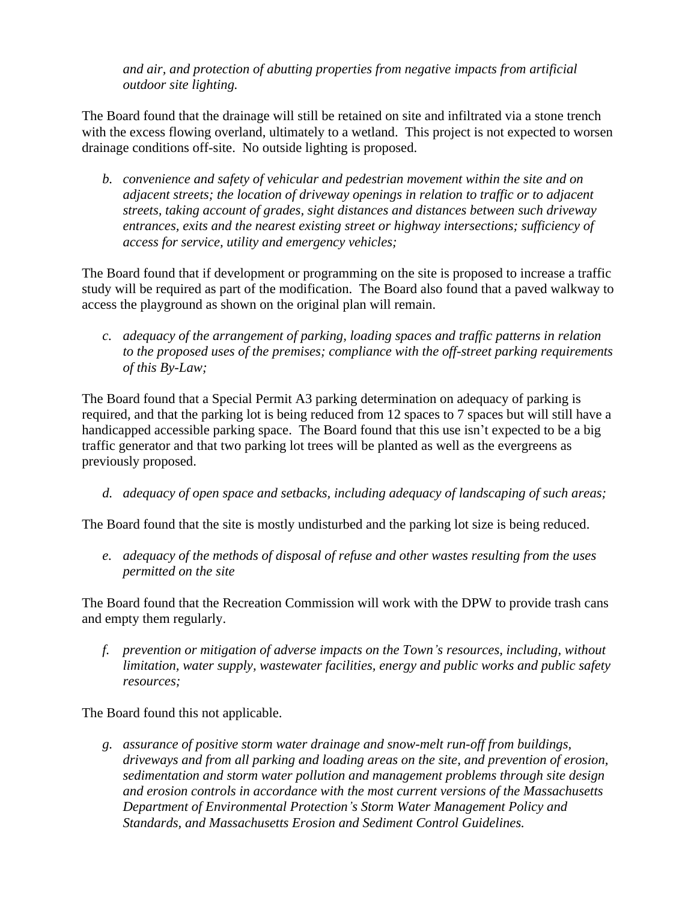*and air, and protection of abutting properties from negative impacts from artificial outdoor site lighting.*

The Board found that the drainage will still be retained on site and infiltrated via a stone trench with the excess flowing overland, ultimately to a wetland. This project is not expected to worsen drainage conditions off-site. No outside lighting is proposed.

*b. convenience and safety of vehicular and pedestrian movement within the site and on adjacent streets; the location of driveway openings in relation to traffic or to adjacent streets, taking account of grades, sight distances and distances between such driveway entrances, exits and the nearest existing street or highway intersections; sufficiency of access for service, utility and emergency vehicles;*

The Board found that if development or programming on the site is proposed to increase a traffic study will be required as part of the modification. The Board also found that a paved walkway to access the playground as shown on the original plan will remain.

*c. adequacy of the arrangement of parking, loading spaces and traffic patterns in relation to the proposed uses of the premises; compliance with the off-street parking requirements of this By-Law;*

The Board found that a Special Permit A3 parking determination on adequacy of parking is required, and that the parking lot is being reduced from 12 spaces to 7 spaces but will still have a handicapped accessible parking space. The Board found that this use isn't expected to be a big traffic generator and that two parking lot trees will be planted as well as the evergreens as previously proposed.

*d. adequacy of open space and setbacks, including adequacy of landscaping of such areas;*

The Board found that the site is mostly undisturbed and the parking lot size is being reduced.

*e. adequacy of the methods of disposal of refuse and other wastes resulting from the uses permitted on the site*

The Board found that the Recreation Commission will work with the DPW to provide trash cans and empty them regularly.

*f. prevention or mitigation of adverse impacts on the Town's resources, including, without limitation, water supply, wastewater facilities, energy and public works and public safety resources;*

The Board found this not applicable.

*g. assurance of positive storm water drainage and snow-melt run-off from buildings, driveways and from all parking and loading areas on the site, and prevention of erosion, sedimentation and storm water pollution and management problems through site design and erosion controls in accordance with the most current versions of the Massachusetts Department of Environmental Protection's Storm Water Management Policy and Standards, and Massachusetts Erosion and Sediment Control Guidelines.*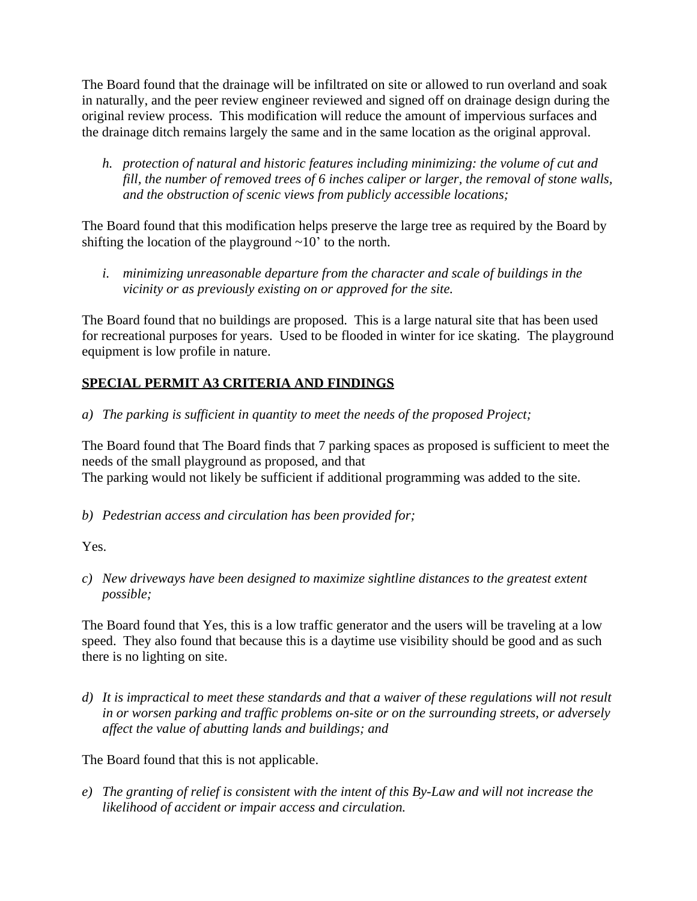The Board found that the drainage will be infiltrated on site or allowed to run overland and soak in naturally, and the peer review engineer reviewed and signed off on drainage design during the original review process. This modification will reduce the amount of impervious surfaces and the drainage ditch remains largely the same and in the same location as the original approval.

*h. protection of natural and historic features including minimizing: the volume of cut and fill, the number of removed trees of 6 inches caliper or larger, the removal of stone walls, and the obstruction of scenic views from publicly accessible locations;* 

The Board found that this modification helps preserve the large tree as required by the Board by shifting the location of the playground  $\sim 10'$  to the north.

*i. minimizing unreasonable departure from the character and scale of buildings in the vicinity or as previously existing on or approved for the site.* 

The Board found that no buildings are proposed. This is a large natural site that has been used for recreational purposes for years. Used to be flooded in winter for ice skating. The playground equipment is low profile in nature.

# **SPECIAL PERMIT A3 CRITERIA AND FINDINGS**

*a) The parking is sufficient in quantity to meet the needs of the proposed Project;*

The Board found that The Board finds that 7 parking spaces as proposed is sufficient to meet the needs of the small playground as proposed, and that The parking would not likely be sufficient if additional programming was added to the site.

*b) Pedestrian access and circulation has been provided for;*

Yes.

*c) New driveways have been designed to maximize sightline distances to the greatest extent possible;*

The Board found that Yes, this is a low traffic generator and the users will be traveling at a low speed. They also found that because this is a daytime use visibility should be good and as such there is no lighting on site.

*d) It is impractical to meet these standards and that a waiver of these regulations will not result in or worsen parking and traffic problems on-site or on the surrounding streets, or adversely affect the value of abutting lands and buildings; and*

The Board found that this is not applicable.

*e) The granting of relief is consistent with the intent of this By-Law and will not increase the likelihood of accident or impair access and circulation.*